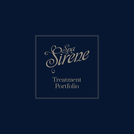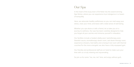## Our Spa

In the heart of the busy town of St Helier lies the award-winning Spa Sirène, where you can experience true indulgence in a haven of tranquillity.

Here, we advocate healthy selfishness so you can melt away your stress, clear your mind, and leave with a total sense of well-being.

Whether you spa alone or with a friend, let us take you on a journey to wellness. Our spa has been carefully designed to help you forget all your worries and immerse yourself in relaxation.

Our facilities include a heated vitality pool, hydrotherapy pool, Swedish sauna, aromatherapy steam room, salt steam therapy room, experience showers, foot baths and a tranquil rest room with thermal couches.For the more energetic we also have a fully equipped gym.

Our friendly and professional staff are on hand to make sure your time with us is truly relaxing and rejuvenating.

So join us for some "me, me, me" time, and enjoy without quilt...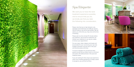

# Spa Etiquette

We want you to have the best treatment experience possible, and to ensure that you do, we kindly ask that you take the following into consideration.

Please note that due to high demand, only packages and treatments over £90 per person, will be invited to use all the spa facilities. We will advise you of the time you may arrive at the time of booking.

Please plan to arrive at least 15 minutes before any treatment. Late arrival for treatments will shorten your treatment or we may be unable to honour your appointment.

For your ease, robes, slippers and towels will be provided for your use during your spa visit. Suitable swimwear must be worn in the pool and thermal areas at all times.

To ensure relaxation for yourself and other guests we ask that you keep noise to a minimum and switch off mobile phones in the pool and treatment areas.

If you are looking for that unique spa experience, some much needed pampering or simply a place to escape to, you will find it all here.

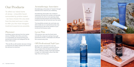## Our Products

To reflect our island home of Jersey - a bountiful haven surrounded by pristine waters - we have chosen the very best from the land and sea in order to offer you the most indulgent treatment experiences possible.

## Phytomer

Innovative marine skincare from the nearby shores of St Malo, their ethics and ethos on sustainability are forward thinking and pioneering to protect and safeguard the life force of the ocean.

*"The sea fills us with wonder, because it brings us resources for today's beauty and reinvents the skincare for tomorrow."*

### Aromatherapy Associates Aromatherapy is the power of "aroma", through essential oils to improve your wellbeing.

Aromatherapy Associates was created to celebrate and share the wonders and benefits of essential oils with an ever-growing range of award-winning products and transformative treatments that can be found all over the world.

This beautifully aromatic skin and body care aims to take you on a sensorial journey, truly presenting you with all the answers to your emotional and beauty needs.

## Lycon Wax

This premium wax uses the finest resins and with the unique pre waxing oil you get guaranteed smooth, comfortable and efficient hair removal every time.

## OPI Professional Nail Care

As the number one brand for nail care OPI offers our customers a premium service and a product that will deliver exceptional results. Offering a variety of gel type polishes in super-rich, fashionable colours that offer high shine and long wear.



BRUME MARINI Eau de Soin Parfume **MARINE MIST** Scented Water



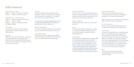## Information

**Opening Hours – Spa**  9.00 a.m. – 8.00 p.m. Monday to Thursday  $9.00$  a.m.  $-6.00$  p.m. Friday to Sunday

**Opening Hours – Gym and Pool**  6.30 a.m. – 9.00 p.m. Monday to Thursday 6.30 a.m. – 7.30 p.m. Friday 8.00a.m. – 7.30 p.m. Saturday, Sunday and Bank Holidays

#### **Lunch Menu**

Our chef has carefully selected nutritious ingredients for a delicious light food and drink selection.

#### **Bookings**

With year round high demand, we recommend booking treatments and packages well in advance to avoid disappointment. We require a valid credit card and contact details to secure the booking reservation.

#### **Courses**

Courses of treatments are available for any treatment. Pay for  $5$  and get your  $6<sup>th</sup>$  treatment free. Full payment is required on 1<sup>st</sup> treatment and must be used within 12 months.

To book please e-mail reception@spasirene.com or telephone 01534 615425. All bookings are secured with a credit or debit card.

#### **Minimum Age Policy**

The minimum age requirement for access to the spa, pool, treatments and fitness centre is 16.

#### **Cancellation Policy**

Please allow 24 hours' notice of cancellation to avoid charges. Cancellations within 24 hours and all non-arrivals will incur 100% charge.

#### **Home Care Products**

You can extend your spa experience with our extensive range of products. Your therapist can advise you which products will help you look and feel your best until your next visit.

#### **Payment Method**

We accept all major credit cards, debit cards and cash.

#### **Prices**

We reserve the right to change prices, modify or discontinue treatments without notice to ensure that maximum standards of service and quality are met.

#### **Gift Vouchers**

Gift vouchers are available from our spa reception, for a monetary value only and are valid for 12 months from the date of purchase. They are non-refundable and non-transferable. Lost or stolen vouchers cannot be replaced. Vouchers must be presented at the time of treatment or an alternative payment method will be required. No cash change given. Expired gift vouchers cannot be accepted as a valid payment method.

#### **Special Considerations** At the time of booking please inform us of any allergies, ailments, illness, disabilities, pregnancy, or any special requirements.

Please note we do not recommend any treatments within the first trimester of pregnancy.

#### **For Your Protection**

We cannot accept responsibility for any lost or stolen items, please keep valuables safe.

#### **Accessibility**

Access to our basement spa is completely step free from pavement level, via a large lift from the main hotel reception. We do not have a pool hoist however our pools have roman style steps and handrails. Our spacious treatment rooms have adjustable beds and wide doorways to accommodate wheelchairs, and a private accessible changing room is available. Please call us if you have any accessibility queries or wish to know more about our facilities.

#### **Note**

Our brochure is valid from Dec 2021 and supersedes any previous treatment brochure edition.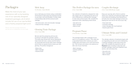## Packages

Make the most of your spa experience with us by booking one of our specially designed treatment packages, all of which include full use of our spa facilities and a freshly prepared light lunch.

*Please note that package treatments are set and no substitutions can be made.*

### Melt Away 1 hr 15 mins / Cost: £112.50

Let us melt away your tension using a combination of hot stones to ease away sore and tired muscles on your back, neck and shoulders. To finish, enjoy a rejuvenating scalp and face pressure point massage.

• Hot stone back, neck and shoulder massage • Scalp and face massage

## Glowing Tonic Package 2 hrs / Cost: £156

We kick start this pampering with dry skin brushing to stimulate the lymphatic system. The body wrap infused with marine ingredients, helps boost skin tone, contour and firm before we rejuvenate and nourish with a back massage and to finish an express facial to leave your skin glowing. The perfect indulgence!

- Body wrap
- Back massage
- Express facial

## The Perfect Package for men 2 hrs / Cost: £185

Our collection of treatments, designed for male skin, begins with an invigorating sea salt scrub and is followed by a relaxing back massage to ease away aches & pains. We complete the experience with a detoxifying marine facial.

- Sea salt scrub
- Back massage
- Marine facial

## Pregnant Pause 2 hrs 15 mins / Cost: £166

This package begins with a massage of your back on our pregnancy cushion. Then relax into a specialised facial which restores your skin's healthy glow and treats to your arms and tummy too. Then sit back and enjoy a mini pedicure to take care of your tired feet.

- Back massage
- Express pedicure
- Facial

## Couples Recharge 2 hrs / Cost: £312.50 per couple

Enjoy your spa day with a friend or partner, where your collection of treatments begins with a foot soak and breathing ritual followed by a full body, face and scalp massage to leave you floating and care free for the rest of your day.

- Foot soak ritual
- Full body massage
- Scalp massage with mud treatment
- Express glow facial

### Ultimate Relax and Unwind 2 hrs / Cost: £185

This ultimate collection of treatments begins with an invigorating sea salt scrub and is followed by a relaxing massage to ease away aches and pains. We complete the experience with our Phytomer facial, including a scalp, face and shoulder massage. Leave your treatment room serene, calm and stress free.

- Sea salt scrub
- Back massage
- Marine facial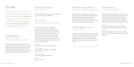Get glowing skin with one of our tailor-made facials. We use natural marine ingredients from Phytomer to balance and calm the skin and essential oils and plant extracts from Aromatherapy Associates to restore health and vitality.

NEW! – Coming soon in 2022 60 mins / Cost: £85.00 / course of 6 £425

This radiance plumping treatment for face and eye areas, uses the latest Ecocert certified organic products to help you achieve a fresh complexion and boosted hydration with a specific massage. Recommended every month for optimal radiance boosting effectiveness.

### Clear Skin Express 30 mins / Cost: £47

A short and effective facial, tailored to each skin type, for flawless and radiant skin.

## Me, Me, Me

75 mins / Cost: £97.50 / course of 6 £487.50

This is much more than just a facial! Our signature treatment, using Phytomer skincare products, is customised to suit your skin type: your treatment starts with our relax back routine and includes a thermal back mud. You will receive a cleanse, exfoliation, 2 professional only treatment masks and a massage. To complete the facial we will finish with the therapist choice of eye cream, serum and moisturising products.

#### City Life

Anti pollution skin freshness treatment.

Hydra Original Plumping thirst relief facial with organic weave algae.

Douceur marine Comforting soothing treatment.

Acnipur Blemish solution.

## Youth Revealing Pioneer

75 mins / Cost: £107.50 / course of 6 £537.50

Discover a very original facial massage in an exceptional treatment with instantly visible results. The height of biotechnological effectiveness for firmer, smoother skin that glows with renewed radiance. 100% of women prefer this treatment to their usual facial.

## Mellow Mama (pregnancy) 75 mins / Cost: £97.50

Take some mellow moments before your baby Cyfolia Organic **computer and the must be a cleanse**, exfoliation, and a series is born with this relaxing facial, which includes massage.<br>Cyfolia Organic and a series only treatment masks and a a treat for the arms and tummy. The marine ingredients help to restore the skin's healthy balance, leaving you with an incredible sense of calm.

> *Please note we do not recommend any treatments within the first trimester of pregnancy.*

### Essential Rose 60 mins £80 / 90 mins £112.50

This deluxe facial harnesses the regenerative properties of rose damask, geranium and jojoba oils to nourish, soften and hydrate the skin. A traditional pressure point facial massage will boost circulation and promote cell renewal to leave skin radiant, dewy and delicately scented.

#### 60 mins

Serious about skin care, then this will help you keep your skin looking fresh and glowing.

#### 90 mins

The ultimate experience starting with a hand and foot ritual and including an Ayurvedic scalp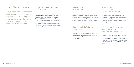## Body Treatments

Give your body some much needed pampering with one of our specific body treatments. Whatever your needs are, we have the right solution for you. Who says you have to suffer in the name of beauty?

### Oligomer Ocean Journey 75 mins / Cost: £105

Bespoke to Spa Sirene, we have collaborated with **Phytomer** to create an indulgent and beautifully luxurious massage. Celebrating "Oligomer" 100% freeze dried sea water containing 104 minerals and trace elements, we will massage away any tension with our unique massage routine simulating the rolling sea. Your skin will feel indulged, strengthened and satisfyingly smooth.

## Sea Holistic 90 mins / Cost: £112.50

An ultra-relaxing top to toe treatment with its gentle warmth and aromatic sent of Jersey lavender flowers. A combination of light strokes, pressures and stretching body massage accompanies Thai-inspired boluses to relieve tension and knots.

### Salt Crystal Exfoliation 30 mins / Cost: £47

An exfoliation with sea salt crystals combined with a relaxing application of body milk for an express body treatment that leaves your skin soft and silky.

Sculpt Zone 75 min / Cost: £97.50 / Course of 6 £487.50 or 3 £243.75

An intensive heat wrap and massage on the abdomen - buttocks - thigh area to beat excess fat and cellulite in record time. With an intensive treatment program, you get radical slimming results.

## P5 Slimming treatment NEW! – Coming soon in 2022 60min / Cost: £80 / course of 6 £400

The perfect full body sliming wrap, combines invigorating massage with an algae jam wrap to trim your curves, shape your body and tone your figure. For a quick results try 3 wraps in quick succession and then 3 over a further 3 week period.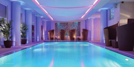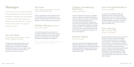Choose one of our deeply relaxing massage treatments for the ultimate indulgence. Whether you are looking to work on those tight muscles or simply take some time for yourself, we have the perfect massage to suit your needs.

## One-Of-A-Kind

45 mins / Back, Neck & Shoulder / Cost: £65 75 mins / Full Body / Cost: £97.50

Our signature body massage improves the condition of your physical and emotional wellbeing with a combination of Swedish massage techniques to work out tight muscles and knots. Choose the length of time you require to let us help you unwind.

## Hot Stone

45 mins / Back, Neck & Shoulder / Cost: £70 75 mins / Full Body / Cost: £105

Using a combination of stone placements, hot and cold Basalt stones to massage with, this will help unravel persistent knots and muscular tightness. Deeply relaxing and restorative too.

Oh Baby Massage (pregnancy) 75 mins / Cost: £97.50

Our comforting pregnancy massage, on a specialised pregnancy cushion, uses safe oils and gentle movements to ease away tension and help you relax those tired, heavy limbs, leaving you feeling lighter and peaceful.

Please note we do not recommend any treatments within the first trimester of pregnancy.

#### Ultimate Aromatherapy **Experience** 90 mins / Cost: £112.50

This hero treatment starts with a consultation to find out what your emotional and physical needs are. With your chosen oil, your therapist will use carefully applied pressures to stimulate the nervous system, Swedish and neuromuscular techniques to relieve muscular tension, and lymphatic drainage to encourage healthy circulation. This treatment works from your head to your toes and will dissolve away all of your stress and tension, leaving you in a state of total wellness.

## Immune Support 60 mins / Cost: £80

Cleansing, clearing and decongesting, this body treatment helps to clear a congested body and mind while supporting the immune system. Guided breathing followed by massage soothe a heavy head, blocked sinuses, easing headaches and promoting gut health.

## Inner Strength & Resilience 90 mins / Cost: £112.50

A truly nurturing massage to fortify and strengthen the mind and body through difficult times. Focus the mind and breathe deeply whilst warm, rich products are applied soothingly. Designed to deeply comfort and support to deliver a deep sense of peace when it's needed most.

Forest Therapy NEW! – Coming soon in 2022 90 mins / Costs: £112.50

Bring the serenity of nature to your mind, body and skin. Feel restored from the stresses of modern day living, cleansed of pollution and relieved from restlessness and agitation. Forest Therapy's unique essential oil blend & treatment massage will reinforce your intention to feel refreshed, tranquil and grounded. Commencing with a cleansing, guided inhalation & tension releasing long, deep massage, followed with a warm grounding mud mask to recharge through hands and feet. Finally, restoring tranquility to the mind with our expert scalp massage.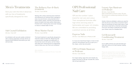## Men's Treatments

Give your skin the time it deserves with our line of treatments specifically designed for men.

### Salt Crystal Exfoliation 30 mins / Cost: £47

An exfoliation with sea salt crystals combined with a relaxing application of body milk for an express body treatment that leaves your skin soft and silky.

## The Refinery Face & Back treatment

75 mins / Cost: £97.50

Starting with a deep cleansing back treatment and followed by an intensive back massage to ease muscular tension using essential oils of black pepper, ginger, rosemary and lavender to boost circulation and help soothe inflammation. Finished with a relaxing face and scalp massage to induce a relaxed state of mind.

Mens Marine Facial 75 mins / Cost: £97.50

This facial treatment is specifically designed to meet the needs of male skin. Beginning with a relaxing back massage and application of thermal sea mud to the spine, we then follow with deep pore cleansing and an oxygenating mask to leave your skin fresh and revitalised.

*Also available: Men's manicure or pedicure 45 mins / Cost: £55*

## OPI Professional Nail Care

OPI are the number 1 salon brand for nail care and colour. Their exceptional formulas offer high shine and long wear in fashionable and super rich shades. We are committed to providing a premium service at all times.

## Express Nails

30 mins / Cost: Manicure or Pedicure £40

In a hurry but need those fingers or toes to look cared for and polished, then let us give you a file, shape, cuticle tidy and polish.

OPI Gel Polish Manicure or Pedicure 45 mins / Cost: £52.50

For longer lasting, high shine and instantly dry fingers and toes try OPI gel. Includes file, cuticle tidy and gel application.

## Luxury Spa Manicure or Pedicure

60 mins / Cost: £62.50 Add on Gel Polish or French colour 75 mins Gel removal & conditioning treatment 30 mins / Cost: £70

Hands or feet are exfoliated, cuticles are cared for with oils and your arms will be cocooned in foil to help our luxuriously rich hand cream soak in. Feet will receive a treat with our thermal mud booties. Once your nail shape is perfected we will apply your chosen colour for a faultless finish.

## Gel Removal & Conditioning Treatment 15 mins / Cost: £40

Let us safely remove your gel and treat your nails with cuticle oil to help maintain healthy, happy nails.

*Please be advised that a minimum spend policy is in place for use of the spa facilities. None of our nail treatments include use of the spa facilities unless accompanied by an additional treatment.*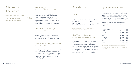# Alternative Therapies

For a truly holistic spa experience, why not opt for one of our effective alternative therapies?

## Reflexology 60 mins / Cost: £70 / Course of 6 £350

The ancient art of Reflexology has been practised in the Far East for thousands of years. The technique involves stimulating pressure points on the feet, releasing blocked energy in the corresponding areas of the body. Reflexology is a deeply relaxing treatment that brings harmony to the body, mind and spirit.

## Indian Head Massage

45 mins / Cost: £65

Designed to alleviate stress, this massage concentrates on the scalp and manipulates the soft tissues in the arms, shoulders and neck.

### Hopi Ear Candling Treatment 30 mins / Cost: £45

A soothing and relaxing therapy used traditionally by the Hopi Indians. Helping to rebalance the inner ear by drawing out impurities, it is a natural alternative to syringing. This treatment can help those who suffer from sinusitis, headaches, head cold, hay fever or excessive ear wax.

## **Tinting**

#### Simple tricks to make your eyes look bigger.

| Eyelash Tint           | 30 mins | £27 |
|------------------------|---------|-----|
| Eyebrow Tint           | 15 mins | £19 |
| Eyelash & Eyebrow Tint | 45 mins | £4C |

*Please note that a patch test is required 24 hrs before the treatment.*

### Self Tan Application Full Body and Face / 60 mins / Cost: £80

Add some colour to your complexion safely with our Vita Liberata self-tanning treatment. After a full body exfoliation, a rich indulgent tanning product is expertly applied, ensuring an even all-over tan. For best results do not shower for the next 8 hours. The colour develops over the next few hours, so we advise that you bring loose clothing and flip flops to wear home.

## Additions Lycon Precision Waxing

Lycon waxes enjoy a well-deserved reputation as a premium wax. The hot wax is formulated with the finest resin and can remove hair as short as 1mm. The unique pre-waxing oil used guarantees a smooth, comfortable and efficient removal to achieve hair-free results every time.

We will only use strip wax on leg and back areas. All other waxing is performed with hot wax.

| Intimate waxing from |         | £45    |
|----------------------|---------|--------|
| Half Leg             | 30 mins | £30    |
| Full Lea             | 45 mins | £47.50 |
| <b>Under Arm</b>     | 15 mins | £19    |
| <b>Bikini</b>        | 15 mins | £25    |
| Eyebrow              | 15 mins | £19    |
| Lip or Chin          | 15 mins | £15    |
| Arm                  | 30 mins | £35    |
| <b>Back</b>          | 30 mins | £45    |

*Please note that it is not advisable to have a self tan, body treatments or heat treatments within 24 hrs of waxing.*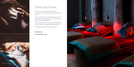

## Dear Spa Guest,

Thank you for choosing Spa Sirène and we hope you have enjoyed your spa experience with us.

It is very important to us that we know how you feel about your experience in the spa and so we welcome all guest feedback.

Please contact us with any relevant feedback by post or email to caroline.lilley@spasirene.com.

We look forward to welcoming you back.

Kind Regards *Your Spa Sirène Team*

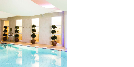